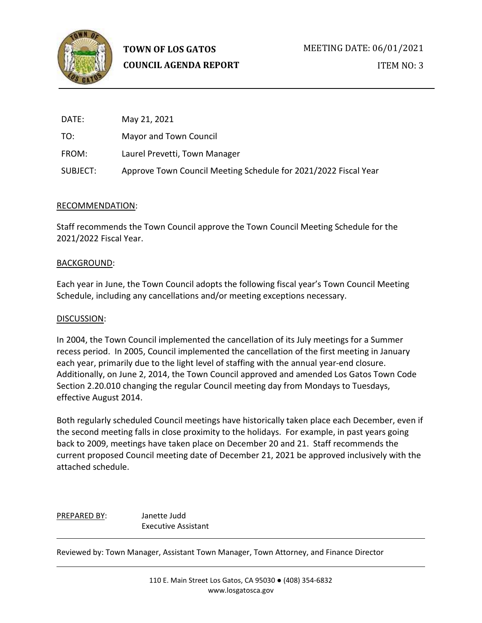

| DATE:    | May 21, 2021                                                    |
|----------|-----------------------------------------------------------------|
| TO:      | Mayor and Town Council                                          |
| FROM:    | Laurel Prevetti, Town Manager                                   |
| SUBJECT: | Approve Town Council Meeting Schedule for 2021/2022 Fiscal Year |

# RECOMMENDATION:

Staff recommends the Town Council approve the Town Council Meeting Schedule for the 2021/2022 Fiscal Year.

# BACKGROUND:

Each year in June, the Town Council adopts the following fiscal year's Town Council Meeting Schedule, including any cancellations and/or meeting exceptions necessary.

### DISCUSSION:

In 2004, the Town Council implemented the cancellation of its July meetings for a Summer recess period. In 2005, Council implemented the cancellation of the first meeting in January each year, primarily due to the light level of staffing with the annual year-end closure. Additionally, on June 2, 2014, the Town Council approved and amended Los Gatos Town Code Section 2.20.010 changing the regular Council meeting day from Mondays to Tuesdays, effective August 2014.

Both regularly scheduled Council meetings have historically taken place each December, even if the second meeting falls in close proximity to the holidays. For example, in past years going back to 2009, meetings have taken place on December 20 and 21. Staff recommends the current proposed Council meeting date of December 21, 2021 be approved inclusively with the attached schedule.

PREPARED BY: Janette Judd Executive Assistant

Reviewed by: Town Manager, Assistant Town Manager, Town Attorney, and Finance Director